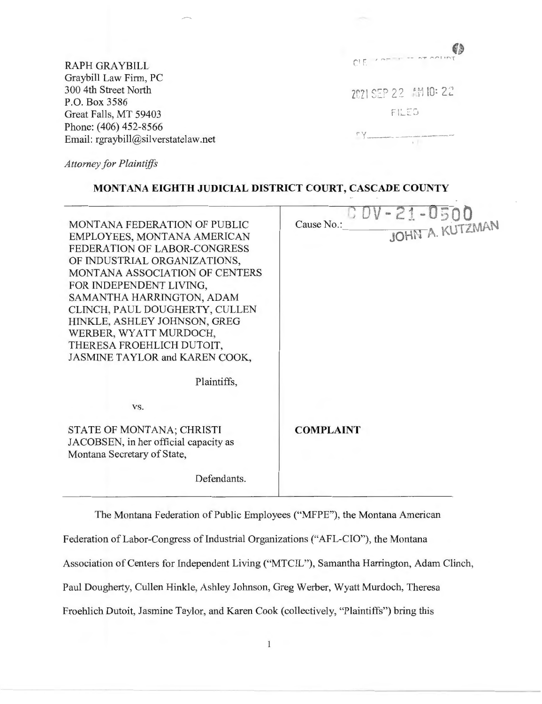|                                     | 63                          |
|-------------------------------------|-----------------------------|
| <b>RAPH GRAYBILL</b>                | CIE 1 april 1 an arr averes |
| Graybill Law Firm, PC               |                             |
| 300 4th Street North                | 2021 SEP 22 開10:22          |
| P.O. Box 3586                       |                             |
| Great Falls, MT 59403               | FILED                       |
| Phone: (406) 452-8566               |                             |
| Email: rgraybill@silverstatelaw.net |                             |
|                                     |                             |

*Attorney for Plaintiffs* 

# **MONTANA EIGHTH JUDICIAL DISTRICT COURT, CASCADE COUNTY**

| MONTANA FEDERATION OF PUBLIC<br>EMPLOYEES, MONTANA AMERICAN<br>FEDERATION OF LABOR-CONGRESS<br>OF INDUSTRIAL ORGANIZATIONS,<br><b>MONTANA ASSOCIATION OF CENTERS</b><br>FOR INDEPENDENT LIVING,<br>SAMANTHA HARRINGTON, ADAM | U UV - 21 - 0500<br>Cause No.: |
|------------------------------------------------------------------------------------------------------------------------------------------------------------------------------------------------------------------------------|--------------------------------|
| CLINCH, PAUL DOUGHERTY, CULLEN<br>HINKLE, ASHLEY JOHNSON, GREG<br>WERBER, WYATT MURDOCH,<br>THERESA FROEHLICH DUTOIT,<br>JASMINE TAYLOR and KAREN COOK,                                                                      |                                |
| Plaintiffs,                                                                                                                                                                                                                  |                                |
| VS.                                                                                                                                                                                                                          |                                |
| STATE OF MONTANA; CHRISTI<br>JACOBSEN, in her official capacity as<br>Montana Secretary of State,                                                                                                                            | <b>COMPLAINT</b>               |
| Defendants.                                                                                                                                                                                                                  |                                |
|                                                                                                                                                                                                                              |                                |

The Montana Federation of Public Employees ("MFPE"), the Montana American

Federation of Labor-Congress of Industrial Organizations ("AFL-CIO"), the Montana

Association of Centers for Independent Living ("MTCIL"), Samantha Harrington, Adam Clinch,

Paul Dougherty, Cullen Hinkle, Ashley Johnson, Greg Werber, Wyatt Murdoch, Theresa

Froehlich Dutoit, Jasmine Taylor, and Karen Cook (collectively, "Plaintiffs") bring this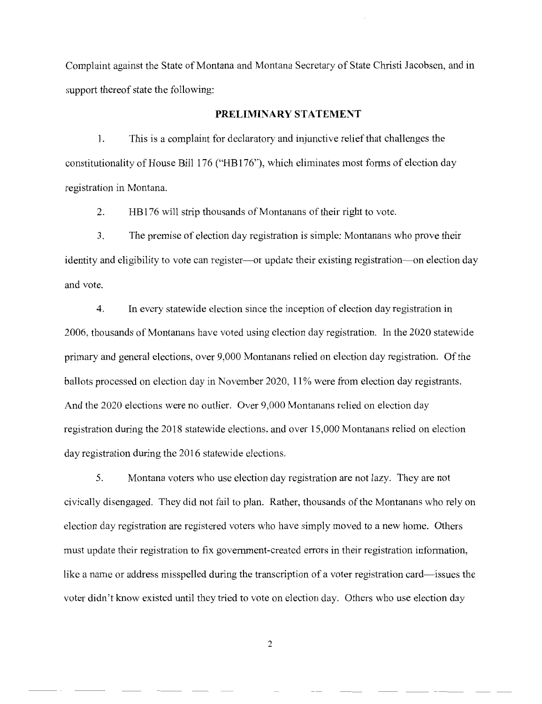Complaint against the State of Montana and Montana Secretary of State Christi Jacobsen, and in support thereof state the following:

#### **PRELIMINARY STATEMENT**

1. This is a complaint for declaratory and injunctive relief that challenges the constitutionality of House Bill 176 ("HB176"), which eliminates most forms of election day registration in Montana.

2. HBl 76 will strip thousands of Montanans of their right to vote.

3. The premise of election day registration is simple: Montanans who prove their identity and eligibility to vote can register—or update their existing registration—on election day and vote.

4. In every statewide election since the inception of election day registration in 2006, thousands of Montanans have voted using election day registration. In the 2020 statewide primary and general elections, over 9,000 Montanans relied on election day registration. Of the ballots processed on election day in November 2020, 11% were from election day registrants. And the 2020 elections were no outlier. Over 9,000 Montanans relied on election day registration during the 2018 statewide elections, and over 15,000 Montanans relied on election day registration during the 2016 statewide elections.

5. Montana voters who use election day registration are not lazy. They are not civically disengaged. They did not fail to plan. Rather, thousands of the Montanans who rely on election day registration are registered voters who have simply moved to a new home. Others must update their registration to fix government-created errors in their registration information, like a name or address misspelled during the transcription of a voter registration card—issues the voter didn't know existed until they tried to vote on election day. Others who use election day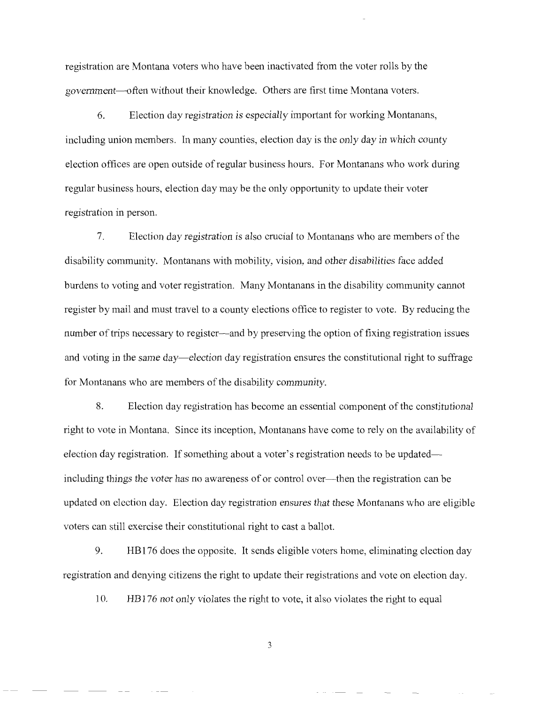registration are Montana voters who have been inactivated from the voter rolls by the government-often without their knowledge. Others are first time Montana voters.

6. Election day registration is especially important for working Montanans, including union members. In many counties, election day is the only day in which county election offices are open outside of regular business hours. For Montanans who work during regular business hours, election day may be the only opportunity to update their voter registration in person.

7. Election day registration is also crucial to Montanans who are members of the disability community. Montanans with mobility, vision, and other disabilities face added burdens to voting and voter registration. Many Montanans in the disability community cannot register by mail and must travel to a county elections office to register to vote. By reducing the number of trips necessary to register—and by preserving the option of fixing registration issues and voting in the same day-election day registration ensures the constitutional right to suffrage for Montanans who are members of the disability community.

8. Election day registration has become an essential component of the constitutional right to vote in Montana. Since its inception, Montanans have come to rely on the availability of election day registration. If something about a voter's registration needs to be updated including things the voter has no awareness of or control over-then the registration can be updated on election day. Election day registration ensures that these Montanans who are eligible voters can still exercise their constitutional right to cast a ballot.

9. HB 176 does the opposite. It sends eligible voters home, eliminating election day registration and denying citizens the right to update their registrations and vote on election day.

10. HB 176 not only violates the right to vote, it also violates the right to equal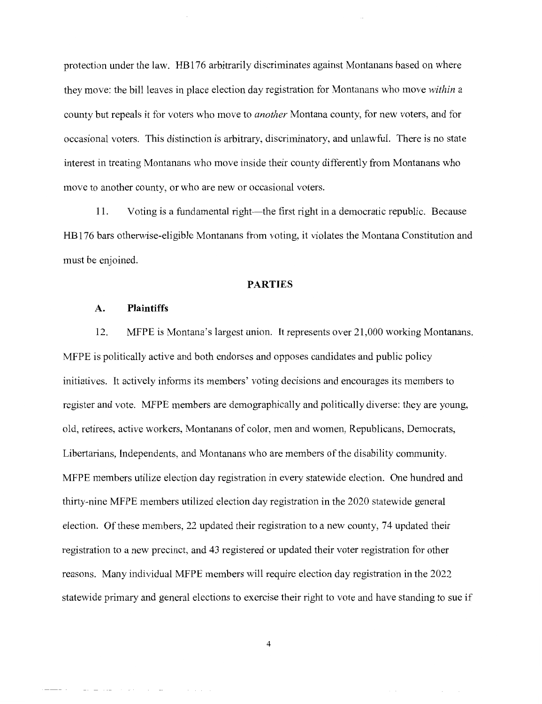protection under the law. HBl 76 arbitrarily discriminates against Montanans based on where they move: the bill leaves in place election day registration for Montanans who move *within* a county but repeals it for voters who move to *another* Montana county, for new voters, and for occasional voters. This distinction is arbitrary, discriminatory, and unlawful. There is no state interest in treating Montanans who move inside their county differently from Montanans who move to another county, or who are new or occasional voters.

11. Voting is a fundamental right—the first right in a democratic republic. Because HBl 76 bars otherwise-eligible Montanans from voting, it violates the Montana Constitution and must be enjoined.

#### **PARTIES**

### **A. Plaintiffs**

12. MFPE is Montana's largest union. It represents over 21 ,000 working Montanans. MFPE is politically active and both endorses and opposes candidates and public policy initiatives. It actively informs its members' voting decisions and encourages its members to register and vote. MFPE members are demographically and politically diverse: they are young, old, retirees, active workers, Montanans of color, men and women, Republicans, Democrats, Libertarians, Independents, and Montanans who are members of the disability community. MFPE members utilize election day registration in every statewide election. One hundred and thirty-nine MFPE members utilized election day registration in the 2020 statewide general election. Of these members, 22 updated their registration to a new county, 74 updated their registration to a new precinct, and 43 registered or updated their voter registration for other reasons. Many individual MFPE members will require election day registration in the 2022 statewide primary and general elections to exercise their right to vote and have standing to sue if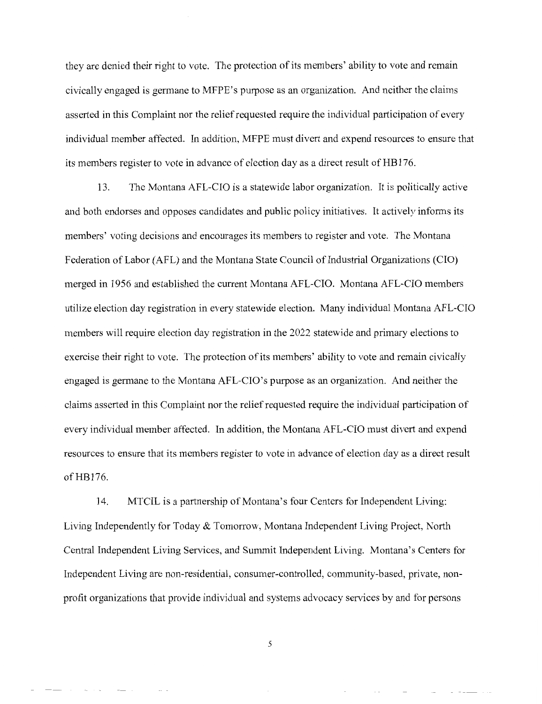they are denied their right to vote. The protection of its members' ability to vote and remain civically engaged is germane to MFPE's purpose as an organization. And neither the claims asserted in this Complaint nor the relief requested require the individual participation of every individual member affected. In addition, MFPE must divert and expend resources to ensure that its members register to vote in advance of election day as a direct result of HBl 76.

13. The Montana AFL-CIO is a statewide labor organization. It is politically active and both endorses and opposes candidates and public policy initiatives. It actively informs its members' voting decisions and encourages its members to register and vote. The Montana Federation of Labor (AFL) and the Montana State Council of Industrial Organizations (CIO) merged in 1956 and established the current Montana AFL-CIO. Montana AFL-CIO members utilize election day registration in every statewide election. Many individual Montana AFL-CIO members will require election day registration in the 2022 statewide and primary elections to exercise their right to vote. The protection of its members' ability to vote and remain civically engaged is germane to the Montana AFL-CIO's purpose as an organization. And neither the claims asserted in this Complaint nor the relief requested require the individual participation of every individual member affected. In addition, the Montana AFL-CIO must divert and expend resources to ensure that its members register to vote in advance of election day as a direct result of HB176.

14. MTCIL is a partnership of Montana's four Centers for Independent Living: Living Independently for Today & Tomorrow, Montana Independent Living Project, North Central Independent Living Services, and Summit Independent Living. Montana's Centers for Independent Living are non-residential, consumer-controlled, community-based, private, nonprofit organizations that provide individual and systems advocacy services by and for persons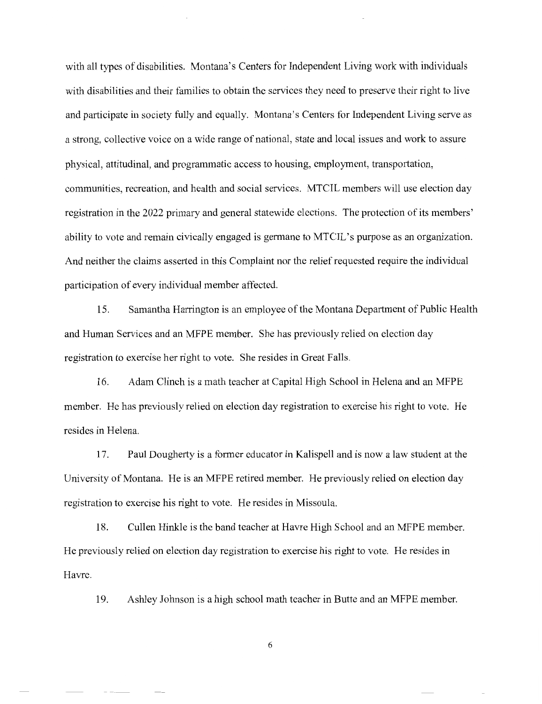with all types of disabilities. Montana's Centers for Independent Living work with individuals with disabilities and their families to obtain the services they need to preserve their right to live and participate in society fully and equally. Montana's Centers for Independent Living serve as a strong, collective voice on a wide range of national, state and local issues and work to assure physical, attitudinal, and programmatic access to housing, employment, transportation, communities, recreation, and health and social services. MTCIL members will use election day registration in the 2022 primary and general statewide elections. The protection of its members' ability to vote and remain civically engaged is germane to MTCIL's purpose as an organization. And neither the claims asserted in this Complaint nor the relief requested require the individual participation of every individual member affected.

15. Samantha Harrington is an employee of the Montana Department of Public Health and Human Services and an MFPE member. She has previously relied on election day registration to exercise her right to vote. She resides in Great Falls.

16. Adam Clinch is a math teacher at Capital High School in Helena and an MFPE member. He has previously relied on election day registration to exercise his right to vote. He resides in Helena.

17. Paul Dougherty is a former educator in Kalispell and is now a law student at the University of Montana. He is an MFPE retired member. He previously relied on election day registration to exercise his right to vote. He resides in Missoula.

18. Cullen Hinkle is the band teacher at Havre High School and an MFPE member. He previously relied on election day registration to exercise his right to vote. He resides in Havre.

19. Ashley Johnson is a high school math teacher in Butte and an MFPE member.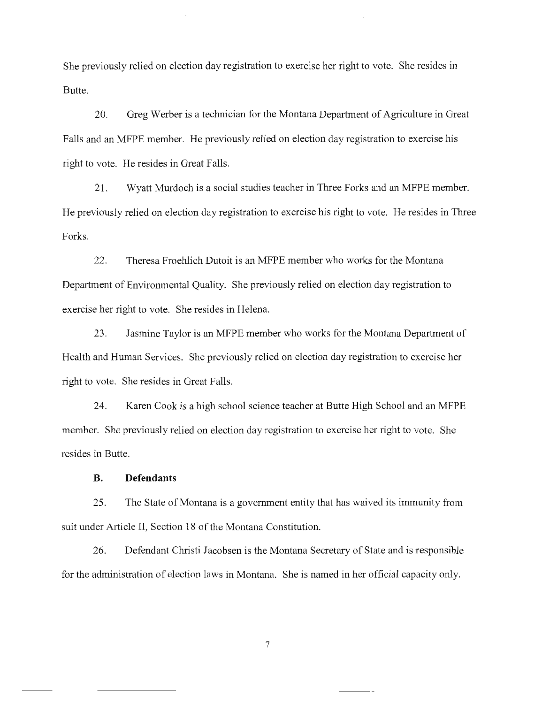She previously relied on election day registration to exercise her right to vote. She resides in Butte.

20. Greg Werber is a technician for the Montana Department of Agriculture in Great Falls and an MFPE member. He previously relied on election day registration to exercise his right to vote. He resides in Great Falls.

21. Wyatt Murdoch is a social studies teacher in Three Forks and an MFPE member. He previously relied on election day registration to exercise his right to vote. He resides in Three Forks.

22. Theresa Froehlich Dutoit is an MFPE member who works for the Montana Department of Environmental Quality. She previously relied on election day registration to exercise her right to vote. She resides in Helena.

23. Jasmine Taylor is an MFPE member who works for the Montana Department of Health and Human Services. She previously relied on election day registration to exercise her right to vote. She resides in Great Falls.

24. Karen Cook is a high school science teacher at Butte High School and an MFPE member. She previously relied on election day registration to exercise her right to vote. She resides in Butte.

### **B. Defendants**

25. The State of Montana is a government entity that has waived its immunity from suit under Article II, Section 18 of the Montana Constitution.

26. Defendant Christi Jacobsen is the Montana Secretary of State and is responsible for the administration of election laws in Montana. She is named in her official capacity only.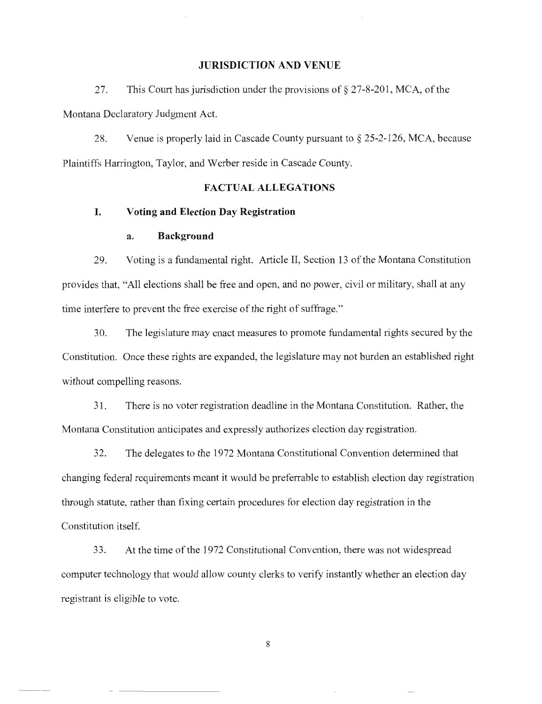#### **JURISDICTION AND VENUE**

27. This Court has jurisdiction under the provisions of§ 27-8-201, MCA, of the Montana Declaratory Judgment Act.

28. Venue is properly laid in Cascade County pursuant to§ 25-2-126, MCA, because Plaintiffs Harrington, Taylor, and Werber reside in Cascade County.

### **FACTUAL ALLEGATIONS**

### **I. Voting and Election Day Registration**

### **a. Background**

29. Voting is a fundamental right. Article II, Section 13 of the Montana Constitution provides that, "All elections shall be free and open, and no power, civil or military, shall at any time interfere to prevent the free exercise of the right of suffrage."

30. The legislature may enact measures to promote fundamental rights secured by the Constitution. Once these rights are expanded, the legislature may not burden an established right without compelling reasons.

31 . There is no voter registration deadline in the Montana Constitution. Rather, the Montana Constitution anticipates and expressly authorizes election day registration.

32. The delegates to the 1972 Montana Constitutional Convention determined that changing federal requirements meant it would be preferrable to establish election day registration through statute, rather than fixing certain procedures for election day registration in the Constitution itself.

33. At the time of the 1972 Constitutional Convention, there was not widespread computer technology that would allow county clerks to verify instantly whether an election day registrant is eligible to vote.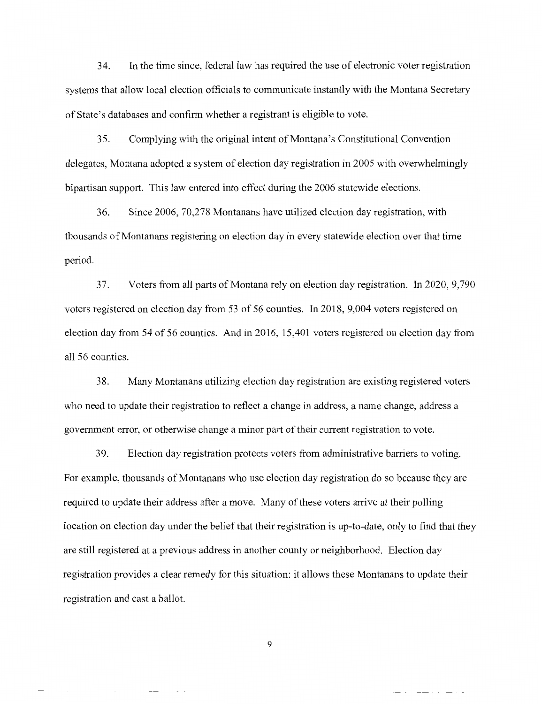34. In the time since, federal law has required the use of electronic voter registration systems that allow local election officials to communicate instantly with the Montana Secretary of State's databases and confirm whether a registrant is eligible to vote.

35. Complying with the original intent of Montana's Constitutional Convention delegates, Montana adopted a system of election day registration in 2005 with overwhelmingly bipartisan support. This law entered into effect during the 2006 statewide elections.

36. Since 2006, 70,278 Montanans have utilized election day registration, with thousands of Montanans registering on election day in every statewide election over that time period.

37. Voters from all parts of Montana rely on election day registration. In 2020, 9,790 voters registered on election day from 53 of 56 counties. In 2018, 9,004 voters registered on election day from 54 of 56 counties. And in 2016, 15,401 voters registered on election day from all 56 counties.

38. Many Montanans utilizing election day registration are existing registered voters who need to update their registration to reflect a change in address, a name change, address a government error, or otherwise change a minor part of their current registration to vote.

39. Election day registration protects voters from administrative barriers to voting. For example, thousands of Montanans who use election day registration do so because they are required to update their address after a move. Many of these voters arrive at their polling location on election day under the belief that their registration is up-to-date, only to find that they are still registered at a previous address in another county or neighborhood. Election day registration provides a clear remedy for this situation: it allows these Montanans to update their registration and cast a ballot.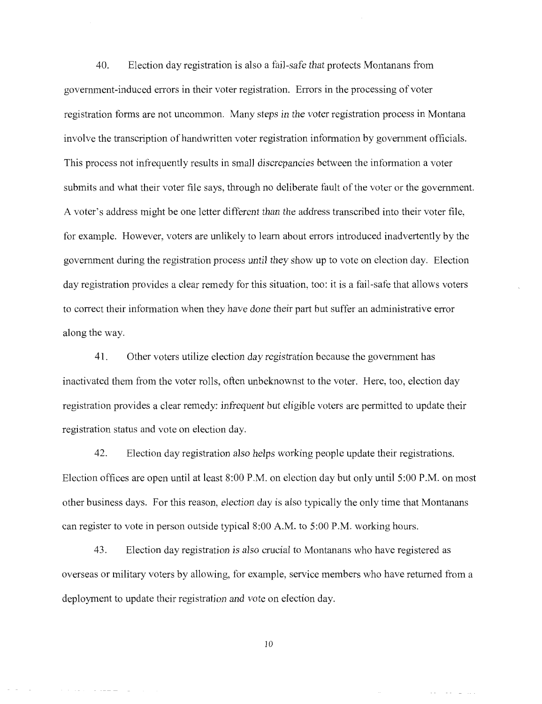40. Election day registration is also a fail-safe that protects Montanans from government-induced errors in their voter registration. Errors in the processing of voter registration forms are not uncommon. Many steps in the voter registration process in Montana involve the transcription of handwritten voter registration information by government officials. This process not infrequently results in small discrepancies between the information a voter submits and what their voter file says, through no deliberate fault of the voter or the government. A voter's address might be one letter different than the address transcribed into their voter file, for example. However, voters are unlikely to learn about errors introduced inadvertently by the government during the registration process until they show up to vote on election day. Election day registration provides a clear remedy for this situation, too: it is a fail-safe that allows voters to correct their information when they have done their part but suffer an administrative error along the way.

41. Other voters utilize election day registration because the government has inactivated them from the voter rolls, often unbeknownst to the voter. Here, too, election day registration provides a clear remedy: infrequent but eligible voters are permitted to update their registration status and vote on election day.

42. Election day registration also helps working people update their registrations. Election offices are open until at least 8:00 P.M. on election day but only until 5:00 P.M. on most other business days. For this reason, election day is also typically the only time that Montanans can register to vote in person outside typical 8:00 A.M. to 5:00 P.M. working hours.

43. Election day registration is also crucial to Montanans who have registered as overseas or military voters by allowing, for example, service members who have returned from a deployment to update their registration and vote on election day.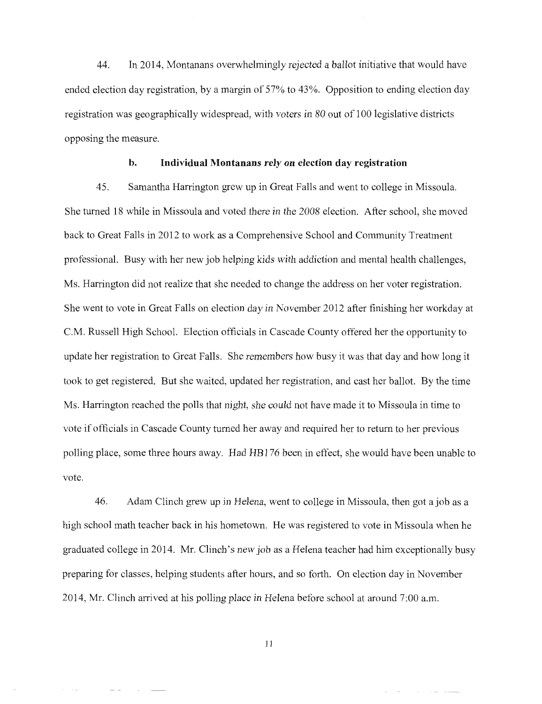44. In 2014, Montanans overwhelmingly rejected a ballot initiative that would have ended election day registration, by a margin of 57% to 43%. Opposition to ending election day registration was geographically widespread, with voters in 80 out of 100 legislative districts opposing the measure.

#### **b. Individual Montanans rely on election day registration**

45. Samantha Harrington grew up in Great Falls and went to college in Missoula. She turned 18 while in Missoula and voted there in the 2008 election. After school, she moved back to Great Falls in 2012 to work as a Comprehensive School and Community Treatment professional. Busy with her new job helping kids with addiction and mental health challenges, Ms. Harrington did not realize that she needed to change the address on her voter registration. She went to vote in Great Falls on election day in November 2012 after finishing her workday at C.M. Russell High School. Election officials in Cascade County offered her the opportunity to update her registration to Great Falls. She remembers how busy it was that day and how long it took to get registered. But she waited, updated her registration, and cast her ballot. By the time Ms. Harrington reached the polls that night, she could not have made it to Missoula in time to vote if officials in Cascade County turned her away and required her to return to her previous polling place, some three hours away. Had HBl 76 been in effect, she would have been unable to vote.

46. Adam Clinch grew up in Helena, went to college in Missoula, then got a job as a high school math teacher back in his hometown. He was registered to vote in Missoula when he graduated college in 2014. Mr. Clinch's new job as a Helena teacher had him exceptionally busy preparing for classes, helping students after hours, and so forth. On election day in November 2014, Mr. Clinch arrived at his polling place in Helena before school at around 7:00 a.m.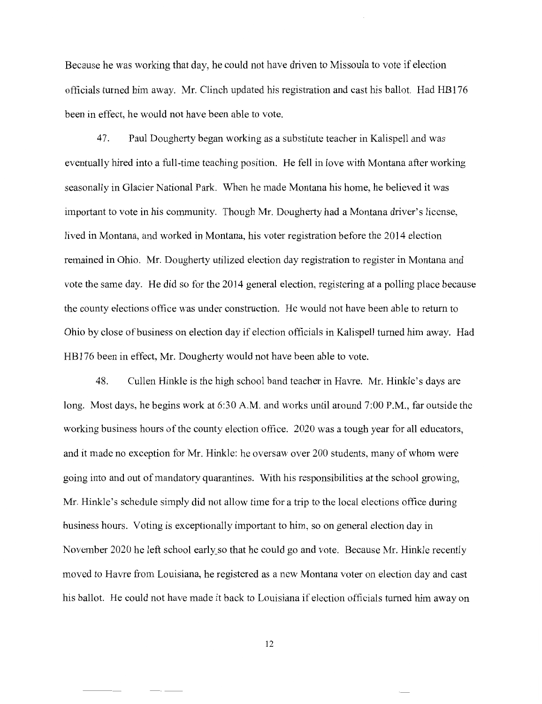Because he was working that day, he could not have driven to Missoula to vote if election officials turned him away. Mr. Clinch updated his registration and cast his ballot. Had HBl 76 been in effect, he would not have been able to vote.

47. Paul Dougherty began working as a substitute teacher in Kalispell and was eventually hired into a full-time teaching position. He fell in love with Montana after working seasonally in Glacier National Park. When he made Montana his home, he believed it was important to vote in his community. Though Mr. Dougherty had a Montana driver's license, lived in Montana, and worked in Montana, his voter registration before the 2014 election remained in Ohio. Mr. Dougherty utilized election day registration to register in Montana and vote the same day. He did so for the 2014 general election, registering at a polling place because the county elections office was under construction. He would not have been able to return to Ohio by close of business on election day if election officials in Kalispell turned him away. Had HBl 76 been in effect, Mr. Dougherty would not have been able to vote.

48. Cullen Hinkle is the high school band teacher in Havre. Mr. Hinkle's days are long. Most days, he begins work at 6:30 A.M. and works until around 7:00 P.M., far outside the working business hours of the county election office. 2020 was a tough year for all educators, and it made no exception for Mr. Hinkle: he oversaw over 200 students, many of whom were going into and out of mandatory quarantines. With his responsibilities at the school growing, Mr. Hinkle's schedule simply did not allow time for a trip to the local elections office during business hours. Voting is exceptionally important to him, so on general election day in November 2020 he left school early so that he could go and vote. Because Mr. Hinkle recently moved to Havre from Louisiana, he registered as a new Montana voter on election day and cast his ballot. He could not have made it back to Louisiana if election officials turned him away on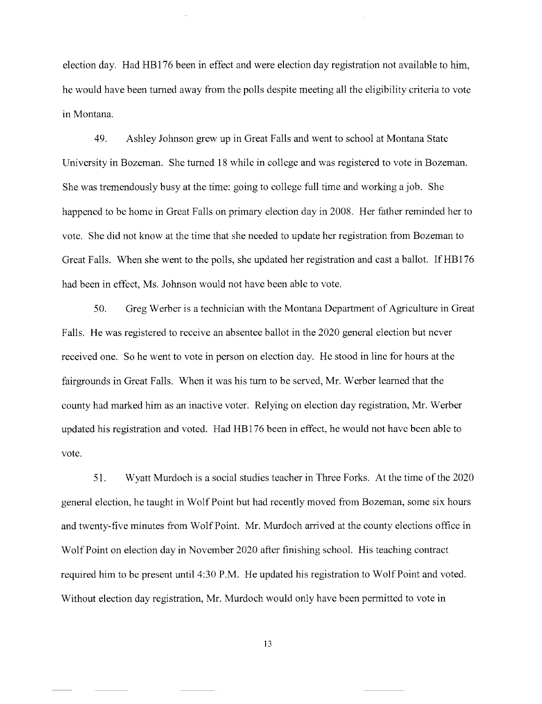election day. Had HBl 76 been in effect and were election day registration not available to him, he would have been turned away from the polls despite meeting all the eligibility criteria to vote in Montana.

49. Ashley Johnson grew up in Great Falls and went to school at Montana State University in Bozeman. She turned 18 while in college and was registered to vote in Bozeman. She was tremendously busy at the time: going to college full time and working a job. She happened to be home in Great Falls on primary election day in 2008. Her father reminded her to vote. She did not know at the time that she needed to update her registration from Bozeman to Great Falls. When she went to the polls, she updated her registration and cast a ballot. If HBl 76 had been in effect, Ms. Johnson would not have been able to vote.

50. Greg Werber is a technician with the Montana Department of Agriculture in Great Falls. He was registered to receive an absentee ballot in the 2020 general election but never received one. So he went to vote in person on election day. He stood in line for hours at the fairgrounds in Great Falls. When it was his tum to be served, Mr. Werber learned that the county had marked him as an inactive voter. Relying on election day registration, Mr. Werber updated his registration and voted. Had HB 176 been in effect, he would not have been able to vote.

51. Wyatt Murdoch is a social studies teacher in Three Forks. At the time of the 2020 general election, he taught in Wolf Point but had recently moved from Bozeman, some six hours and twenty-five minutes from Wolf Point. Mr. Murdoch arrived at the county elections office in Wolf Point on election day in November 2020 after finishing school. His teaching contract required him to be present until 4:30 P.M. He updated his registration to Wolf Point and voted. Without election day registration, Mr. Murdoch would only have been permitted to vote in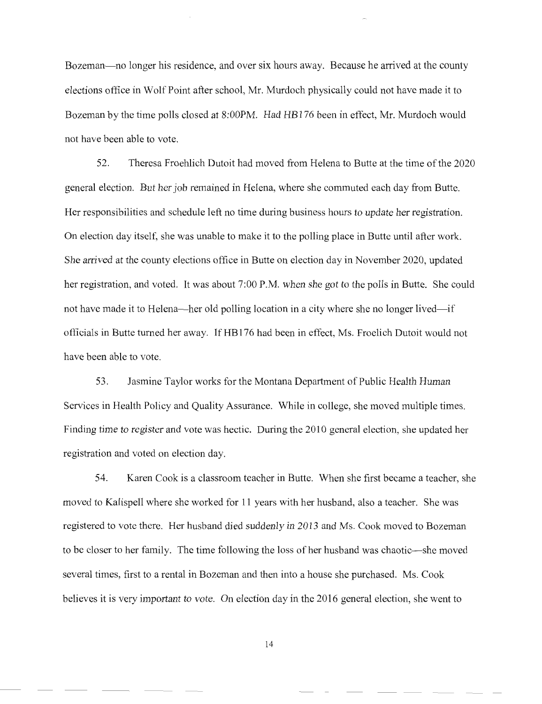Bozeman—no longer his residence, and over six hours away. Because he arrived at the county elections office in Wolf Point after school, Mr. Murdoch physically could not have made it to Bozeman by the time polls closed at 8:00PM. Had HB176 been in effect, Mr. Murdoch would not have been able to vote.

52. Theresa Froehlich Dutoit had moved from Helena to Butte at the time of the 2020 general election. But her job remained in Helena, where she commuted each day from Butte. Her responsibilities and schedule left no time during business hours to update her registration. On election day itself, she was unable to make it to the polling place in Butte until after work. She arrived at the county elections office in Butte on election day in November 2020, updated her registration, and voted. It was about 7:00 P.M. when she got to the polls in Butte. She could not have made it to Helena—her old polling location in a city where she no longer lived—if officials in Butte turned her away. If HBl 76 had been in effect, Ms. Froelich Dutoit would not have been able to vote.

53. Jasmine Taylor works for the Montana Department of Public Health Human Services in Health Policy and Quality Assurance. While in college, she moved multiple times. Finding time to register and vote was hectic. During the 2010 general election, she updated her registration and voted on election day.

54. Karen Cook is a classroom teacher in Butte. When she first became a teacher, she moved to Kalispell where she worked for 11 years with her husband, also a teacher. She was registered to vote there. Her husband died suddenly in 2013 and Ms. Cook moved to Bozeman to be closer to her family. The time following the loss of her husband was chaotic—she moved several times, first to a rental in Bozeman and then into a house she purchased. Ms. Cook believes it is very important to vote. On election day in the 2016 general election, she went to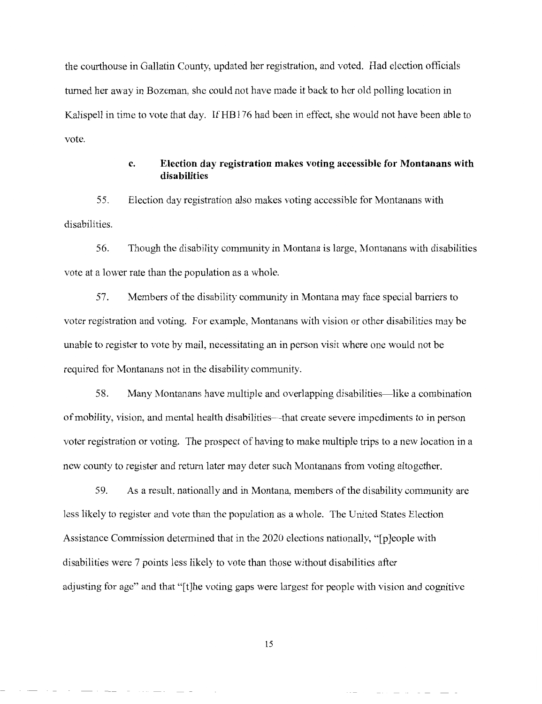the courthouse in Gallatin County, updated her registration, and voted. Had election officials turned her away in Bozeman, she could not have made it back to her old polling location in Kalispell in time to vote that day. If HB176 had been in effect, she would not have been able to vote.

## **c. Election day registration makes voting accessible for Montanans with disabilities**

55. Election day registration also makes voting accessible for Montanans with disabilities.

56. Though the disability community in Montana is large, Montanans with disabilities vote at a lower rate than the population as a whole.

57. Members of the disability community in Montana may face special barriers to voter registration and voting. For example, Montanans with vision or other disabilities may be unable to register to vote by mail, necessitating an in person visit where one would not be required for Montanans not in the disability community.

58. Many Montanans have multiple and overlapping disabilities-like a combination of mobility, vision, and mental health disabilities-that create severe impediments to in person voter registration or voting. The prospect of having to make multiple trips to a new location in a new county to register and return later may deter such Montanans from voting altogether.

59. As a result, nationally and in Montana, members of the disability community are less likely to register and vote than the population as a whole. The United States Election Assistance Commission determined that in the 2020 elections nationally, "[p]eople with disabilities were 7 points less likely to vote than those without disabilities after adjusting for age" and that "[t]he voting gaps were largest for people with vision and cognitive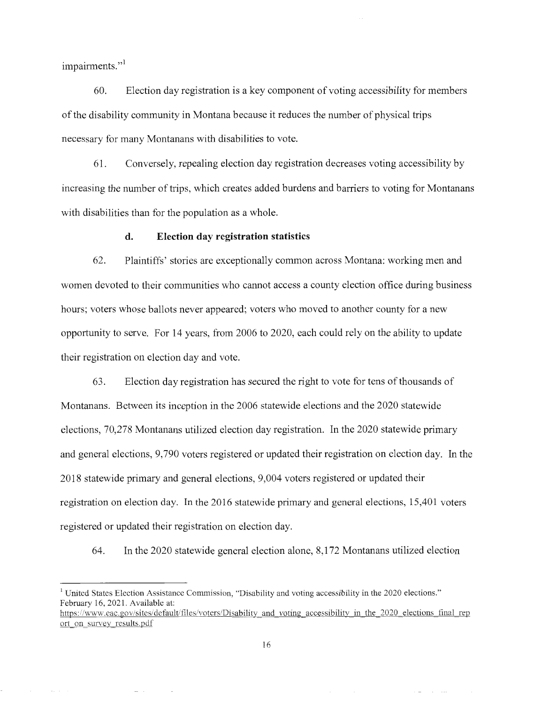impairments."<sup>1</sup>

60. Election day registration is a key component of voting accessibility for members of the disability community in Montana because it reduces the number of physical trips necessary for many Montanans with disabilities to vote.

61. Conversely, repealing election day registration decreases voting accessibility by increasing the number of trips, which creates added burdens and barriers to voting for Montanans with disabilities than for the population as a whole.

#### **d. Election day registration statistics**

62. Plaintiffs' stories are exceptionally common across Montana: working men and women devoted to their communities who cannot access a county election office during business hours; voters whose ballots never appeared; voters who moved to another county for a new opportunity to serve. For 14 years, from 2006 to 2020, each could rely on the ability to update their registration on election day and vote.

63. Election day registration has secured the right to vote for tens of thousands of Montanans. Between its inception in the 2006 statewide elections and the 2020 statewide elections, 70,278 Montanans utilized election day registration. In the 2020 statewide primary and general elections, 9,790 voters registered or updated their registration on election day. In the 2018 statewide primary and general elections, 9,004 voters registered or updated their registration on election day. In the 2016 statewide primary and general elections, 15,401 voters registered or updated their registration on election day.

64. In the 2020 statewide general election alone, 8,172 Montanans utilized election

<sup>1</sup> United States Election Assistance Commission, "Disability and voting accessibility in the 2020 elections." February 16, 2021. Available at:

https://www.eac.gov/sites/default/files/voters/Disability and voting accessibility in the 2020 elections final rep ort on survey results.pdf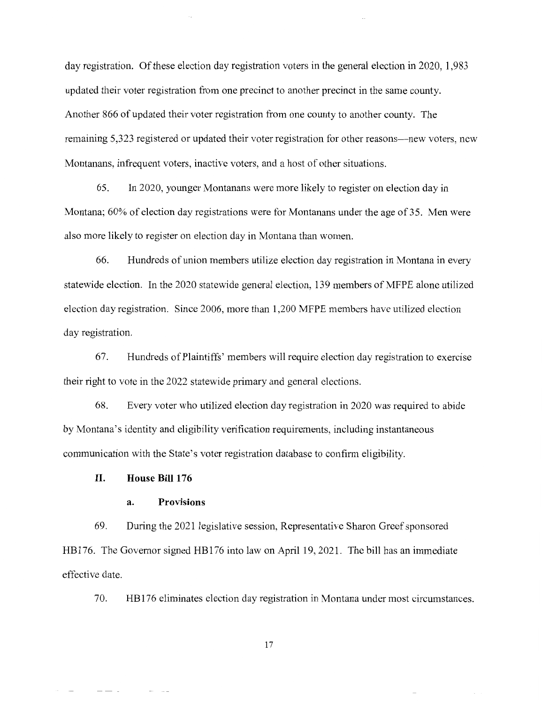day registration. Of these election day registration voters in the general election in 2020, 1,983 updated their voter registration from one precinct to another precinct in the same county. Another 866 of updated their voter registration from one county to another county. The remaining 5,323 registered or updated their voter registration for other reasons—new voters, new Montanans, infrequent voters, inactive voters, and a host of other situations.

65. In 2020, younger Montanans were more likely to register on election day in Montana; 60% of election day registrations were for Montanans under the age of 35. Men were also more likely to register on election day in Montana than women.

66. Hundreds of union members utilize election day registration in Montana in every statewide election. In the 2020 statewide general election, 139 members of MFPE alone utilized election day registration. Since 2006, more than 1,200 MFPE members have utilized election day registration.

67. Hundreds of Plaintiffs' members will require election day registration to exercise their right to vote in the 2022 statewide primary and general elections.

68. Every voter who utilized election day registration in 2020 was required to abide by Montana's identity and eligibility verification requirements, including instantaneous communication with the State's voter registration database to confirm eligibility.

### **II. House Bill 176**

#### **a. Provisions**

69. During the 2021 legislative session, Representative Sharon Greef sponsored HB 176. The Governor signed HB 176 into law on April 19, 2021. The bill has an immediate effective date.

70. HB 176 eliminates election day registration in Montana under most circumstances.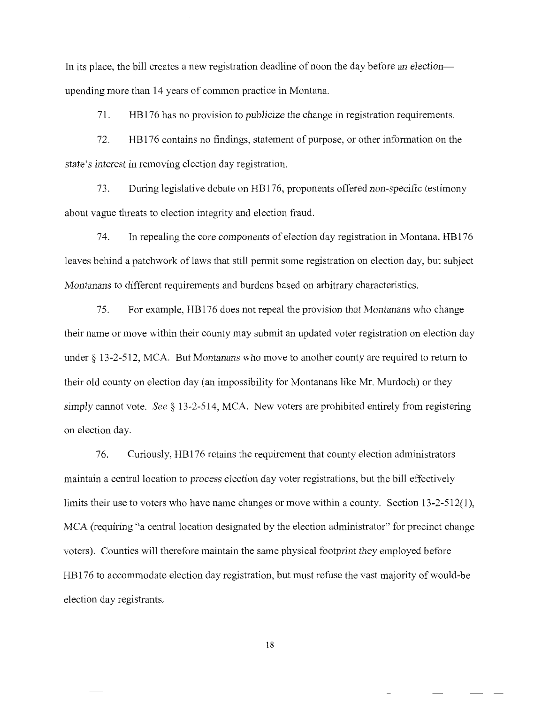In its place, the bill creates a new registration deadline of noon the day before an electionupending more than 14 years of common practice in Montana.

71 . HB 176 has no provision to publicize the change in registration requirements.

72. HBl 76 contains no findings, statement of purpose, or other information on the state's interest in removing election day registration.

73. During legislative debate on HBl 76, proponents offered non-specific testimony about vague threats to election integrity and election fraud.

74. In repealing the core components of election day registration in Montana, HBl 76 leaves behind a patchwork of laws that still permit some registration on election day, but subject Montanans to different requirements and burdens based on arbitrary characteristics.

75. For example, HBl 76 does not repeal the provision that Montanans who change their name or move within their county may submit an updated voter registration on election day under § 13-2-512, MCA. But Montanans who move to another county are required to return to their old county on election day (an impossibility for Montanans like Mr. Murdoch) or they simply cannot vote. *See §* 13-2-514, MCA. New voters are prohibited entirely from registering on election day.

76. Curiously, HBl 76 retains the requirement that county election administrators maintain a central location to process election day voter registrations, but the bill effectively limits their use to voters who have name changes or move within a county. Section 13-2-512(1), MCA (requiring "a central location designated by the election administrator" for precinct change voters). Counties will therefore maintain the same physical footprint they employed before HB 176 to accommodate election day registration, but must refuse the vast majority of would-be election day registrants.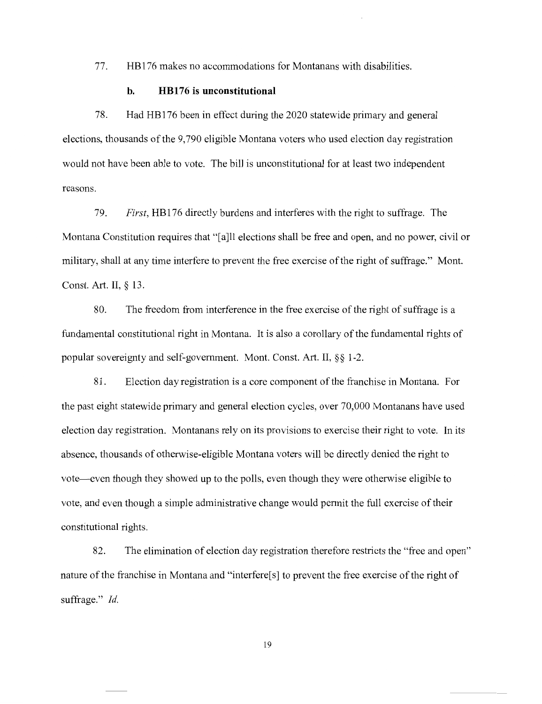77. HBl 76 makes no accommodations for Montanans with disabilities.

### **b. HBl 76 is unconstitutional**

78. Had HBl 76 been in effect during the 2020 statewide primary and general elections, thousands of the 9,790 eligible Montana voters who used election day registration would not have been able to vote. The bill is unconstitutional for at least two independent reasons.

79. *First,* HBl 76 directly burdens and interferes with the right to suffrage. The Montana Constitution requires that "[a]ll elections shall be free and open, and no power, civil or military, shall at any time interfere to prevent the free exercise of the right of suffrage." Mont. Const. Art. II, § 13.

80. The freedom from interference in the free exercise of the right of suffrage is a fundamental constitutional right in Montana. It is also a corollary of the fundamental rights of popular sovereignty and self-government. Mont. Const. Art. II, §§ 1-2.

81. Election day registration is a core component of the franchise in Montana. For the past eight statewide primary and general election cycles, over 70,000 Montanans have used election day registration. Montanans rely on its provisions to exercise their right to vote. In its absence, thousands of otherwise-eligible Montana voters will be directly denied the right to vote-even though they showed up to the polls, even though they were otherwise eligible to vote, and even though a simple administrative change would permit the full exercise of their constitutional rights.

82. The elimination of election day registration therefore restricts the "free and open" nature of the franchise in Montana and "interfere<sup>[s]</sup> to prevent the free exercise of the right of suffrage." *Id.*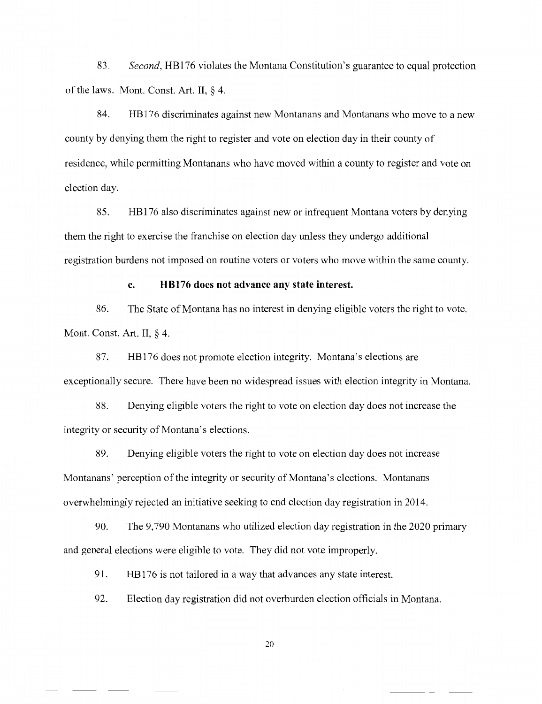83. *Second,* HBl 76 violates the Montana Constitution's guarantee to equal protection of the laws. Mont. Const. Art. II, § 4.

84. HB 176 discriminates against new Montanans and Montanans who move to a new county by denying them the right to register and vote on election day in their county of residence, while permitting Montanans who have moved within a county to register and vote on election day.

85. HBl 76 also discriminates against new or infrequent Montana voters by denying them the right to exercise the franchise on election day unless they undergo additional registration burdens not imposed on routine voters or voters who move within the same county.

#### **c. HBl 76 does not advance any state interest.**

86. The State of Montana has no interest in denying eligible voters the right to vote. Mont. Const. Art. II, § 4.

87. HB 176 does not promote election integrity. Montana's elections are exceptionally secure. There have been no widespread issues with election integrity in Montana.

88. Denying eligible voters the right to vote on election day does not increase the integrity or security of Montana's elections.

89. Denying eligible voters the right to vote on election day does not increase Montanans' perception of the integrity or security of Montana's elections. Montanans overwhelmingly rejected an initiative seeking to end election day registration in 2014.

90. The 9,790 Montanans who utilized election day registration in the 2020 primary and general elections were eligible to vote. They did not vote improperly.

91. HB176 is not tailored in a way that advances any state interest.

92. Election day registration did not overburden election officials in Montana.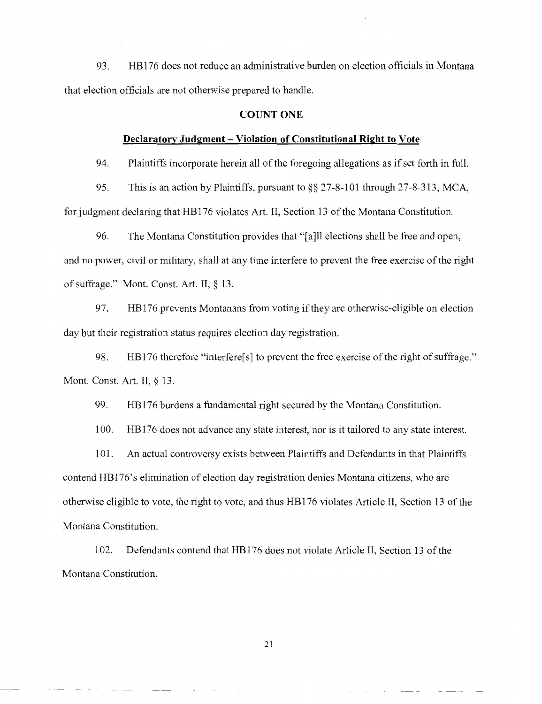93. HB 176 does not reduce an administrative burden on election officials in Montana that election officials are not otherwise prepared to handle.

#### **COUNT ONE**

#### **Declaratory Judgment- Violation of Constitutional Right to Vote**

94. Plaintiffs incorporate herein all of the foregoing allegations as if set forth in full.

95. This is an action by Plaintiffs, pursuant to§§ 27-8-101 through 27-8-313, MCA, for judgment declaring that HBl 76 violates Art. II, Section 13 of the Montana Constitution.

96. The Montana Constitution provides that "[a]ll elections shall be free and open, and no power, civil or military, shall at any time interfere to prevent the free exercise of the right of suffrage." Mont. Const. Art. II, § 13.

97. HB 176 prevents Montanans from voting if they are otherwise-eligible on election day but their registration status requires election day registration.

98. HB176 therefore "interfere<sup>[s]</sup> to prevent the free exercise of the right of suffrage." Mont. Const. Art. II, § 13.

99. HBl 76 burdens a fundamental right secured by the Montana Constitution.

100. HB 176 does not advance any state interest, nor is it tailored to any state interest.

101. An actual controversy exists between Plaintiffs and Defendants in that Plaintiffs contend HB 176's elimination of election day registration denies Montana citizens, who are otherwise eligible to vote, the right to vote, and thus HBl 76 violates Article II, Section 13 of the Montana Constitution.

102. Defendants contend that HB 176 does not violate Article II, Section 13 of the Montana Constitution.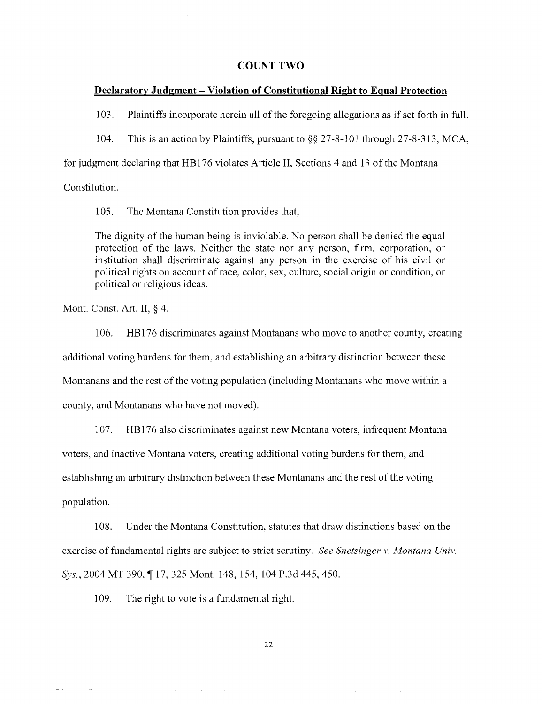#### **COUNT TWO**

#### **Declaratory Judgment - Violation of Constitutional Right to Equal Protection**

103. Plaintiffs incorporate herein all of the foregoing allegations as if set forth in full.

104. This is an action by Plaintiffs, pursuant to§§ 27-8-101 through 27-8-313, MCA,

for judgment declaring that HB 176 violates Article II, Sections 4 and 13 of the Montana

Constitution.

105. The Montana Constitution provides that,

The dignity of the human being is inviolable. No person shall be denied the equal protection of the laws. Neither the state nor any person, firm, corporation, or institution shall discriminate against any person in the exercise of his civil or political rights on account of race, color, sex, culture, social origin or condition, or political or religious ideas.

Mont. Const. Art. II, § 4.

 $\mathcal{L}^{\text{c}}$  ,  $\mathcal{L}^{\text{c}}$  ,  $\mathcal{L}^{\text{c}}$ 

106. HBl 76 discriminates against Montanans who move to another county, creating additional voting burdens for them, and establishing an arbitrary distinction between these Montanans and the rest of the voting population (including Montanans who move within a county, and Montanans who have not moved).

107. HB 176 also discriminates against new Montana voters, infrequent Montana voters, and inactive Montana voters, creating additional voting burdens for them, and establishing an arbitrary distinction between these Montanans and the rest of the voting population.

108. Under the Montana Constitution, statutes that draw distinctions based on the exercise of fundamental rights are subject to strict scrutiny. *See Snetsinger v. Montana Univ. Sys.,* 2004 MT 390, **117,** 325 Mont. 148, 154, 104 P.3d 445,450.

109. The right to vote is a fundamental right.